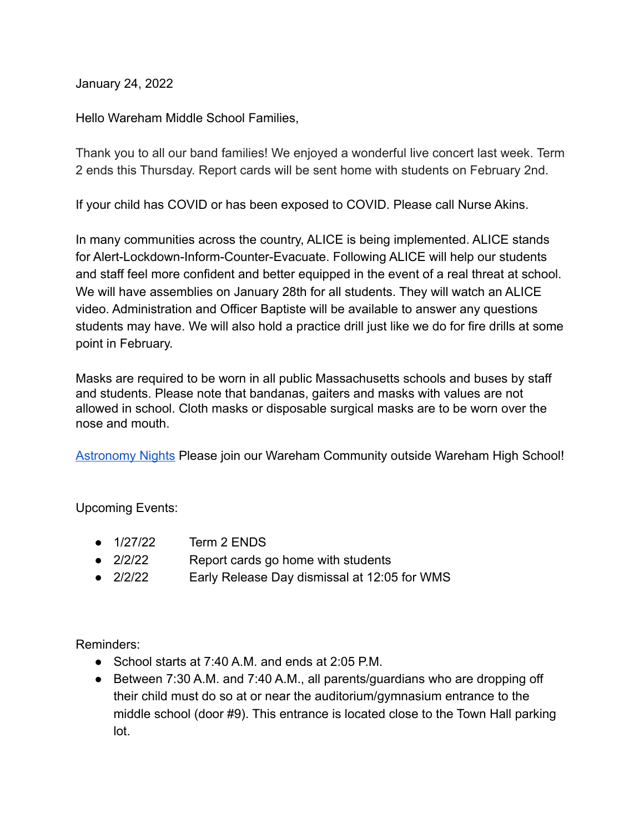January 24, 2022

Hello Wareham Middle School Families,

Thank you to all our band families! We enjoyed a wonderful live concert last week. Term 2 ends this Thursday. Report cards will be sent home with students on February 2nd.

If your child has COVID or has been exposed to COVID. Please call Nurse Akins.

In many communities across the country, ALICE is being implemented. ALICE stands for Alert-Lockdown-Inform-Counter-Evacuate. Following ALICE will help our students and staff feel more confident and better equipped in the event of a real threat at school. We will have assemblies on January 28th for all students. They will watch an ALICE video. Administration and Officer Baptiste will be available to answer any questions students may have. We will also hold a practice drill just like we do for fire drills at some point in February.

Masks are required to be worn in all public Massachusetts schools and buses by staff and students. Please note that bandanas, gaiters and masks with values are not allowed in school. Cloth masks or disposable surgical masks are to be worn over the nose and mouth.

[Astronomy Nights](https://docs.google.com/presentation/d/1DmKcLPWkUKoFRo1ChaYmO-q8SZr-zYm_xXlw0VyL6lA/edit#slide=id.gf72013f103_0_0) Please join our Wareham Community outside Wareham High School!

Upcoming Events:

- 1/27/22 Term 2 ENDS
- 2/2/22 Report cards go home with students
- 2/2/22 Early Release Day dismissal at 12:05 for WMS

Reminders:

- School starts at 7:40 A.M. and ends at 2:05 P.M.
- Between 7:30 A.M. and 7:40 A.M., all parents/guardians who are dropping off their child must do so at or near the auditorium/gymnasium entrance to the middle school (door #9). This entrance is located close to the Town Hall parking lot.